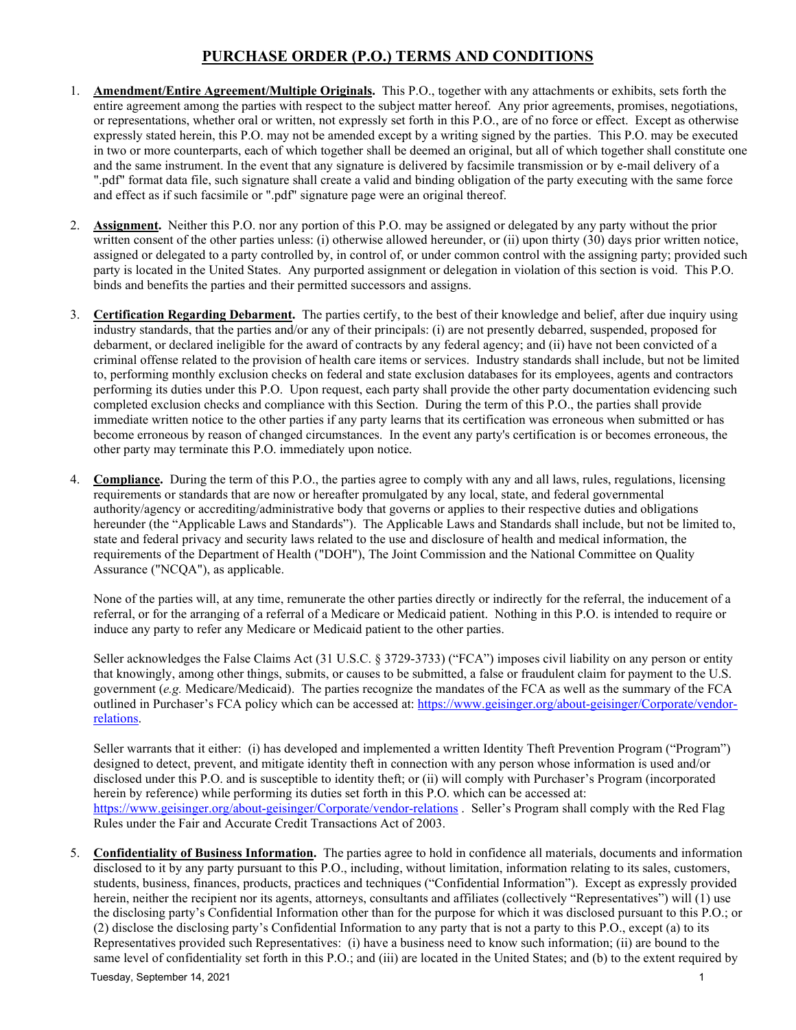- 1. **Amendment/Entire Agreement/Multiple Originals.** This P.O., together with any attachments or exhibits, sets forth the entire agreement among the parties with respect to the subject matter hereof. Any prior agreements, promises, negotiations, or representations, whether oral or written, not expressly set forth in this P.O., are of no force or effect. Except as otherwise expressly stated herein, this P.O. may not be amended except by a writing signed by the parties. This P.O. may be executed in two or more counterparts, each of which together shall be deemed an original, but all of which together shall constitute one and the same instrument. In the event that any signature is delivered by facsimile transmission or by e-mail delivery of a ".pdf" format data file, such signature shall create a valid and binding obligation of the party executing with the same force and effect as if such facsimile or ".pdf" signature page were an original thereof.
- 2. **Assignment.** Neither this P.O. nor any portion of this P.O. may be assigned or delegated by any party without the prior written consent of the other parties unless: (i) otherwise allowed hereunder, or (ii) upon thirty (30) days prior written notice, assigned or delegated to a party controlled by, in control of, or under common control with the assigning party; provided such party is located in the United States. Any purported assignment or delegation in violation of this section is void. This P.O. binds and benefits the parties and their permitted successors and assigns.
- 3. **Certification Regarding Debarment.** The parties certify, to the best of their knowledge and belief, after due inquiry using industry standards, that the parties and/or any of their principals: (i) are not presently debarred, suspended, proposed for debarment, or declared ineligible for the award of contracts by any federal agency; and (ii) have not been convicted of a criminal offense related to the provision of health care items or services. Industry standards shall include, but not be limited to, performing monthly exclusion checks on federal and state exclusion databases for its employees, agents and contractors performing its duties under this P.O. Upon request, each party shall provide the other party documentation evidencing such completed exclusion checks and compliance with this Section. During the term of this P.O., the parties shall provide immediate written notice to the other parties if any party learns that its certification was erroneous when submitted or has become erroneous by reason of changed circumstances. In the event any party's certification is or becomes erroneous, the other party may terminate this P.O. immediately upon notice.
- 4. **Compliance.** During the term of this P.O., the parties agree to comply with any and all laws, rules, regulations, licensing requirements or standards that are now or hereafter promulgated by any local, state, and federal governmental authority/agency or accrediting/administrative body that governs or applies to their respective duties and obligations hereunder (the "Applicable Laws and Standards"). The Applicable Laws and Standards shall include, but not be limited to, state and federal privacy and security laws related to the use and disclosure of health and medical information, the requirements of the Department of Health ("DOH"), The Joint Commission and the National Committee on Quality Assurance ("NCQA"), as applicable.

None of the parties will, at any time, remunerate the other parties directly or indirectly for the referral, the inducement of a referral, or for the arranging of a referral of a Medicare or Medicaid patient. Nothing in this P.O. is intended to require or induce any party to refer any Medicare or Medicaid patient to the other parties.

Seller acknowledges the False Claims Act (31 U.S.C. § 3729-3733) ("FCA") imposes civil liability on any person or entity that knowingly, among other things, submits, or causes to be submitted, a false or fraudulent claim for payment to the U.S. government (*e.g.* Medicare/Medicaid). The parties recognize the mandates of the FCA as well as the summary of the FCA outlined in Purchaser's FCA policy which can be accessed at: [https://www.geisinger.org/about-geisinger/Corporate/vendor](https://www.geisinger.org/about-geisinger/Corporate/vendor-relations)[relations.](https://www.geisinger.org/about-geisinger/Corporate/vendor-relations)

Seller warrants that it either: (i) has developed and implemented a written Identity Theft Prevention Program ("Program") designed to detect, prevent, and mitigate identity theft in connection with any person whose information is used and/or disclosed under this P.O. and is susceptible to identity theft; or (ii) will comply with Purchaser's Program (incorporated herein by reference) while performing its duties set forth in this P.O. which can be accessed at: <https://www.geisinger.org/about-geisinger/Corporate/vendor-relations> . Seller's Program shall comply with the Red Flag Rules under the Fair and Accurate Credit Transactions Act of 2003.

5. **Confidentiality of Business Information.** The parties agree to hold in confidence all materials, documents and information disclosed to it by any party pursuant to this P.O., including, without limitation, information relating to its sales, customers, students, business, finances, products, practices and techniques ("Confidential Information"). Except as expressly provided herein, neither the recipient nor its agents, attorneys, consultants and affiliates (collectively "Representatives") will (1) use the disclosing party's Confidential Information other than for the purpose for which it was disclosed pursuant to this P.O.; or (2) disclose the disclosing party's Confidential Information to any party that is not a party to this P.O., except (a) to its Representatives provided such Representatives: (i) have a business need to know such information; (ii) are bound to the same level of confidentiality set forth in this P.O.; and (iii) are located in the United States; and (b) to the extent required by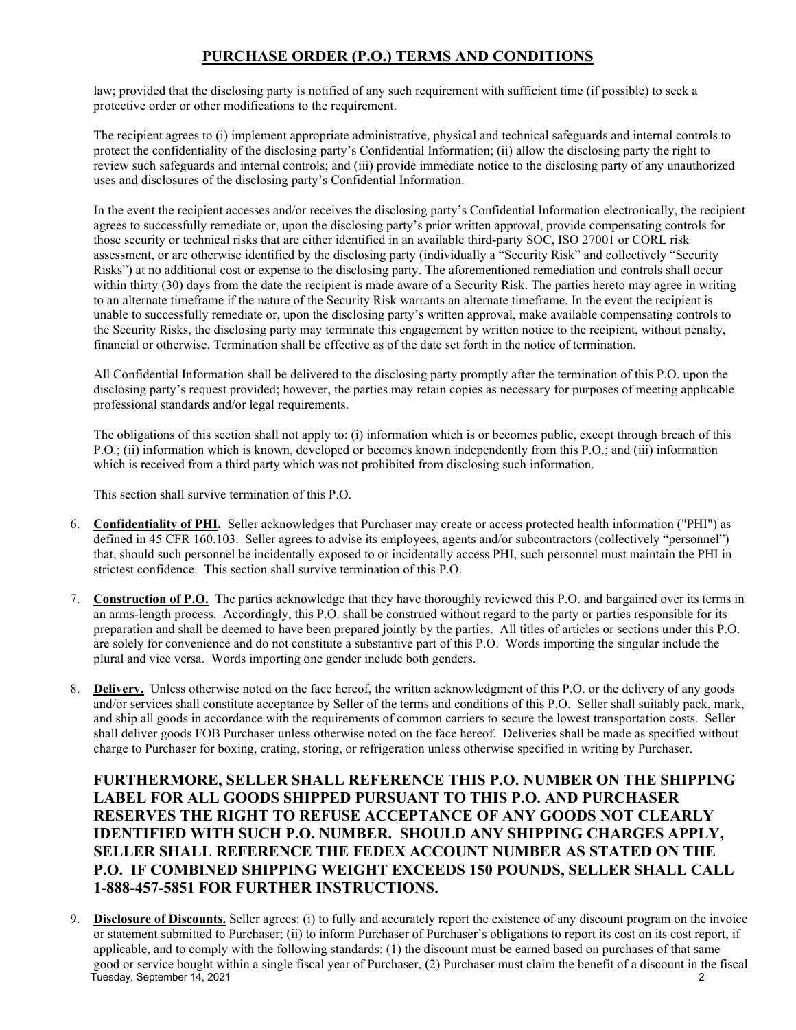law; provided that the disclosing party is notified of any such requirement with sufficient time (if possible) to seek a protective order or other modifications to the requirement.

The recipient agrees to (i) implement appropriate administrative, physical and technical safeguards and internal controls to protect the confidentiality of the disclosing party's Confidential Information; (ii) allow the disclosing party the right to review such safeguards and internal controls; and (iii) provide immediate notice to the disclosing party of any unauthorized uses and disclosures of the disclosing party's Confidential Information.

In the event the recipient accesses and/or receives the disclosing party's Confidential Information electronically, the recipient agrees to successfully remediate or, upon the disclosing party's prior written approval, provide compensating controls for those security or technical risks that are either identified in an available third-party SOC, ISO 27001 or CORL risk assessment, or are otherwise identified by the disclosing party (individually a "Security Risk" and collectively "Security Risks") at no additional cost or expense to the disclosing party. The aforementioned remediation and controls shall occur within thirty (30) days from the date the recipient is made aware of a Security Risk. The parties hereto may agree in writing to an alternate timeframe if the nature of the Security Risk warrants an alternate timeframe. In the event the recipient is unable to successfully remediate or, upon the disclosing party's written approval, make available compensating controls to the Security Risks, the disclosing party may terminate this engagement by written notice to the recipient, without penalty, financial or otherwise. Termination shall be effective as of the date set forth in the notice of termination.

All Confidential Information shall be delivered to the disclosing party promptly after the termination of this P.O. upon the disclosing party's request provided; however, the parties may retain copies as necessary for purposes of meeting applicable professional standards and/or legal requirements.

The obligations of this section shall not apply to: (i) information which is or becomes public, except through breach of this P.O.; (ii) information which is known, developed or becomes known independently from this P.O.; and (iii) information which is received from a third party which was not prohibited from disclosing such information.

This section shall survive termination of this P.O.

- 6. **Confidentiality of PHI.** Seller acknowledges that Purchaser may create or access protected health information ("PHI") as defined in 45 CFR 160.103. Seller agrees to advise its employees, agents and/or subcontractors (collectively "personnel") that, should such personnel be incidentally exposed to or incidentally access PHI, such personnel must maintain the PHI in strictest confidence. This section shall survive termination of this P.O.
- 7. **Construction of P.O.** The parties acknowledge that they have thoroughly reviewed this P.O. and bargained over its terms in an arms-length process. Accordingly, this P.O. shall be construed without regard to the party or parties responsible for its preparation and shall be deemed to have been prepared jointly by the parties. All titles of articles or sections under this P.O. are solely for convenience and do not constitute a substantive part of this P.O. Words importing the singular include the plural and vice versa. Words importing one gender include both genders.
- 8. **Delivery.** Unless otherwise noted on the face hereof, the written acknowledgment of this P.O. or the delivery of any goods and/or services shall constitute acceptance by Seller of the terms and conditions of this P.O. Seller shall suitably pack, mark, and ship all goods in accordance with the requirements of common carriers to secure the lowest transportation costs. Seller shall deliver goods FOB Purchaser unless otherwise noted on the face hereof. Deliveries shall be made as specified without charge to Purchaser for boxing, crating, storing, or refrigeration unless otherwise specified in writing by Purchaser.

**FURTHERMORE, SELLER SHALL REFERENCE THIS P.O. NUMBER ON THE SHIPPING LABEL FOR ALL GOODS SHIPPED PURSUANT TO THIS P.O. AND PURCHASER RESERVES THE RIGHT TO REFUSE ACCEPTANCE OF ANY GOODS NOT CLEARLY IDENTIFIED WITH SUCH P.O. NUMBER. SHOULD ANY SHIPPING CHARGES APPLY, SELLER SHALL REFERENCE THE FEDEX ACCOUNT NUMBER AS STATED ON THE P.O. IF COMBINED SHIPPING WEIGHT EXCEEDS 150 POUNDS, SELLER SHALL CALL 1-888-457-5851 FOR FURTHER INSTRUCTIONS.**

Tuesday, September 14, 2021 2 9. **Disclosure of Discounts.** Seller agrees: (i) to fully and accurately report the existence of any discount program on the invoice or statement submitted to Purchaser; (ii) to inform Purchaser of Purchaser's obligations to report its cost on its cost report, if applicable, and to comply with the following standards: (1) the discount must be earned based on purchases of that same good or service bought within a single fiscal year of Purchaser, (2) Purchaser must claim the benefit of a discount in the fiscal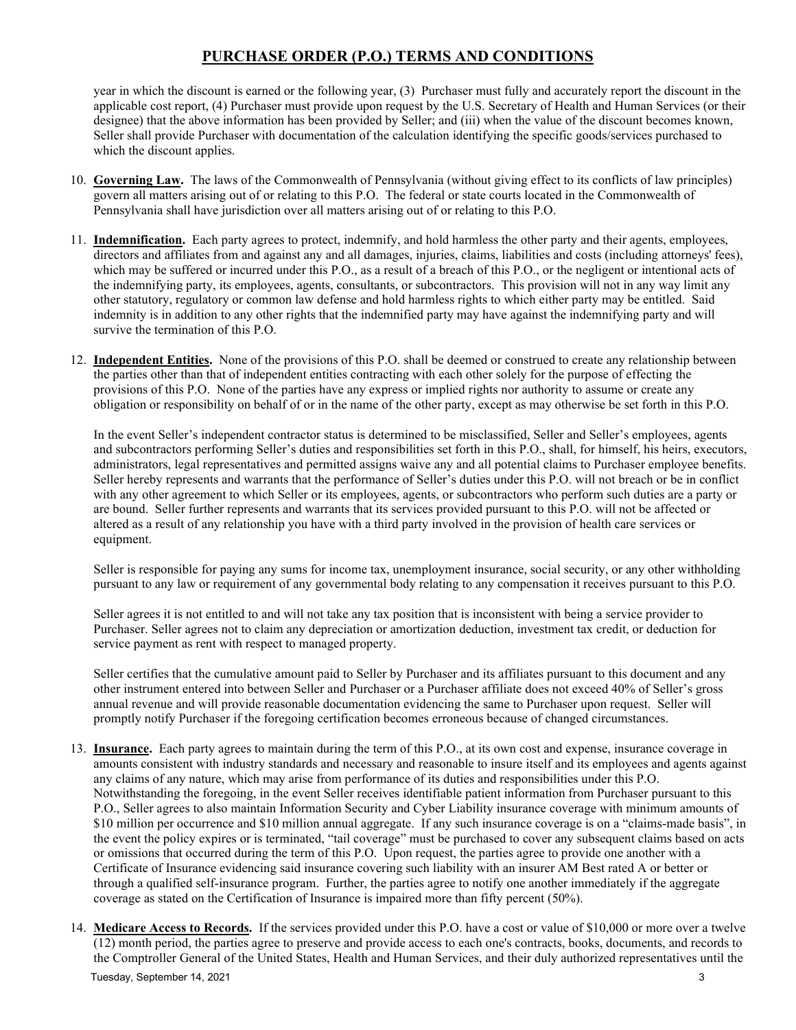year in which the discount is earned or the following year, (3) Purchaser must fully and accurately report the discount in the applicable cost report, (4) Purchaser must provide upon request by the U.S. Secretary of Health and Human Services (or their designee) that the above information has been provided by Seller; and (iii) when the value of the discount becomes known, Seller shall provide Purchaser with documentation of the calculation identifying the specific goods/services purchased to which the discount applies.

- 10. **Governing Law.** The laws of the Commonwealth of Pennsylvania (without giving effect to its conflicts of law principles) govern all matters arising out of or relating to this P.O. The federal or state courts located in the Commonwealth of Pennsylvania shall have jurisdiction over all matters arising out of or relating to this P.O.
- 11. **Indemnification.** Each party agrees to protect, indemnify, and hold harmless the other party and their agents, employees, directors and affiliates from and against any and all damages, injuries, claims, liabilities and costs (including attorneys' fees), which may be suffered or incurred under this P.O., as a result of a breach of this P.O., or the negligent or intentional acts of the indemnifying party, its employees, agents, consultants, or subcontractors. This provision will not in any way limit any other statutory, regulatory or common law defense and hold harmless rights to which either party may be entitled. Said indemnity is in addition to any other rights that the indemnified party may have against the indemnifying party and will survive the termination of this P.O.
- 12. **Independent Entities.** None of the provisions of this P.O. shall be deemed or construed to create any relationship between the parties other than that of independent entities contracting with each other solely for the purpose of effecting the provisions of this P.O. None of the parties have any express or implied rights nor authority to assume or create any obligation or responsibility on behalf of or in the name of the other party, except as may otherwise be set forth in this P.O.

In the event Seller's independent contractor status is determined to be misclassified, Seller and Seller's employees, agents and subcontractors performing Seller's duties and responsibilities set forth in this P.O., shall, for himself, his heirs, executors, administrators, legal representatives and permitted assigns waive any and all potential claims to Purchaser employee benefits. Seller hereby represents and warrants that the performance of Seller's duties under this P.O. will not breach or be in conflict with any other agreement to which Seller or its employees, agents, or subcontractors who perform such duties are a party or are bound. Seller further represents and warrants that its services provided pursuant to this P.O. will not be affected or altered as a result of any relationship you have with a third party involved in the provision of health care services or equipment.

Seller is responsible for paying any sums for income tax, unemployment insurance, social security, or any other withholding pursuant to any law or requirement of any governmental body relating to any compensation it receives pursuant to this P.O.

Seller agrees it is not entitled to and will not take any tax position that is inconsistent with being a service provider to Purchaser. Seller agrees not to claim any depreciation or amortization deduction, investment tax credit, or deduction for service payment as rent with respect to managed property.

Seller certifies that the cumulative amount paid to Seller by Purchaser and its affiliates pursuant to this document and any other instrument entered into between Seller and Purchaser or a Purchaser affiliate does not exceed 40% of Seller's gross annual revenue and will provide reasonable documentation evidencing the same to Purchaser upon request. Seller will promptly notify Purchaser if the foregoing certification becomes erroneous because of changed circumstances.

- 13. **Insurance.** Each party agrees to maintain during the term of this P.O., at its own cost and expense, insurance coverage in amounts consistent with industry standards and necessary and reasonable to insure itself and its employees and agents against any claims of any nature, which may arise from performance of its duties and responsibilities under this P.O. Notwithstanding the foregoing, in the event Seller receives identifiable patient information from Purchaser pursuant to this P.O., Seller agrees to also maintain Information Security and Cyber Liability insurance coverage with minimum amounts of \$10 million per occurrence and \$10 million annual aggregate. If any such insurance coverage is on a "claims-made basis", in the event the policy expires or is terminated, "tail coverage" must be purchased to cover any subsequent claims based on acts or omissions that occurred during the term of this P.O. Upon request, the parties agree to provide one another with a Certificate of Insurance evidencing said insurance covering such liability with an insurer AM Best rated A or better or through a qualified self-insurance program. Further, the parties agree to notify one another immediately if the aggregate coverage as stated on the Certification of Insurance is impaired more than fifty percent (50%).
- Tuesday, September 14, 2021 3 14. **Medicare Access to Records.** If the services provided under this P.O. have a cost or value of \$10,000 or more over a twelve (12) month period, the parties agree to preserve and provide access to each one's contracts, books, documents, and records to the Comptroller General of the United States, Health and Human Services, and their duly authorized representatives until the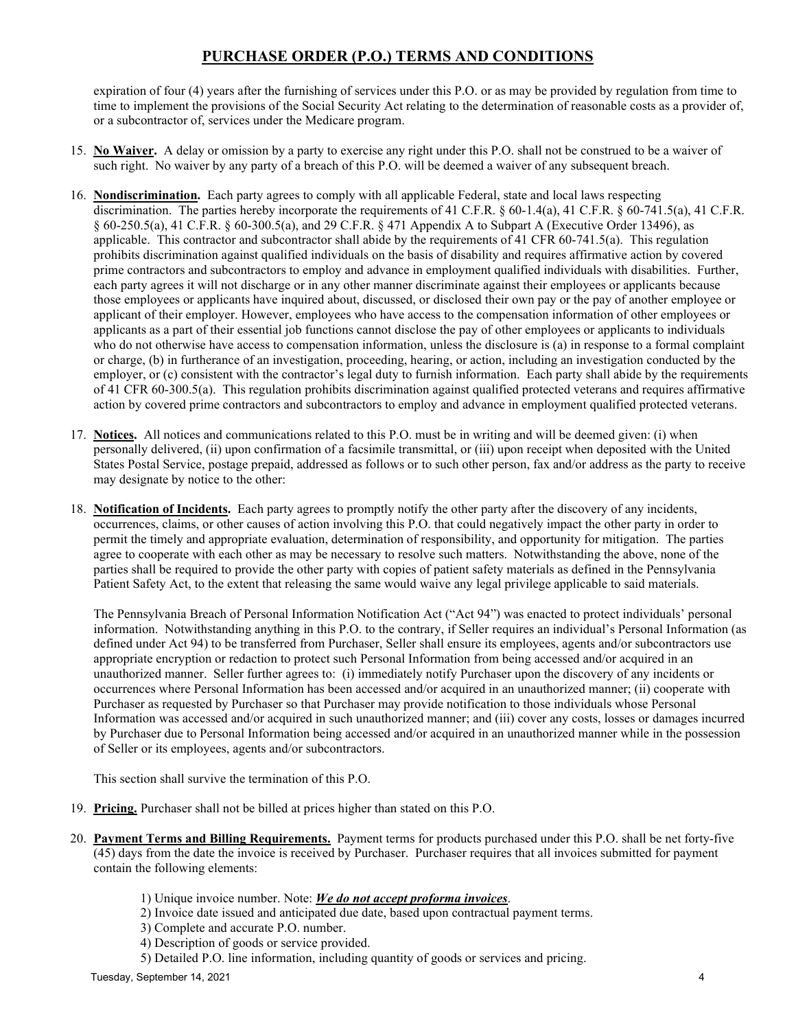expiration of four (4) years after the furnishing of services under this P.O. or as may be provided by regulation from time to time to implement the provisions of the Social Security Act relating to the determination of reasonable costs as a provider of, or a subcontractor of, services under the Medicare program.

- 15. **No Waiver.** A delay or omission by a party to exercise any right under this P.O. shall not be construed to be a waiver of such right. No waiver by any party of a breach of this P.O. will be deemed a waiver of any subsequent breach.
- 16. **Nondiscrimination.** Each party agrees to comply with all applicable Federal, state and local laws respecting discrimination. The parties hereby incorporate the requirements of 41 C.F.R. § 60-1.4(a), 41 C.F.R. § 60-741.5(a), 41 C.F.R. § 60-250.5(a), 41 C.F.R. § 60-300.5(a), and 29 C.F.R. § 471 Appendix A to Subpart A (Executive Order 13496), as applicable. This contractor and subcontractor shall abide by the requirements of 41 CFR 60-741.5(a). This regulation prohibits discrimination against qualified individuals on the basis of disability and requires affirmative action by covered prime contractors and subcontractors to employ and advance in employment qualified individuals with disabilities. Further, each party agrees it will not discharge or in any other manner discriminate against their employees or applicants because those employees or applicants have inquired about, discussed, or disclosed their own pay or the pay of another employee or applicant of their employer. However, employees who have access to the compensation information of other employees or applicants as a part of their essential job functions cannot disclose the pay of other employees or applicants to individuals who do not otherwise have access to compensation information, unless the disclosure is (a) in response to a formal complaint or charge, (b) in furtherance of an investigation, proceeding, hearing, or action, including an investigation conducted by the employer, or (c) consistent with the contractor's legal duty to furnish information. Each party shall abide by the requirements of 41 CFR 60-300.5(a). This regulation prohibits discrimination against qualified protected veterans and requires affirmative action by covered prime contractors and subcontractors to employ and advance in employment qualified protected veterans.
- 17. **Notices.** All notices and communications related to this P.O. must be in writing and will be deemed given: (i) when personally delivered, (ii) upon confirmation of a facsimile transmittal, or (iii) upon receipt when deposited with the United States Postal Service, postage prepaid, addressed as follows or to such other person, fax and/or address as the party to receive may designate by notice to the other:
- 18. **Notification of Incidents.** Each party agrees to promptly notify the other party after the discovery of any incidents, occurrences, claims, or other causes of action involving this P.O. that could negatively impact the other party in order to permit the timely and appropriate evaluation, determination of responsibility, and opportunity for mitigation. The parties agree to cooperate with each other as may be necessary to resolve such matters. Notwithstanding the above, none of the parties shall be required to provide the other party with copies of patient safety materials as defined in the Pennsylvania Patient Safety Act, to the extent that releasing the same would waive any legal privilege applicable to said materials.

The Pennsylvania Breach of Personal Information Notification Act ("Act 94") was enacted to protect individuals' personal information. Notwithstanding anything in this P.O. to the contrary, if Seller requires an individual's Personal Information (as defined under Act 94) to be transferred from Purchaser, Seller shall ensure its employees, agents and/or subcontractors use appropriate encryption or redaction to protect such Personal Information from being accessed and/or acquired in an unauthorized manner. Seller further agrees to: (i) immediately notify Purchaser upon the discovery of any incidents or occurrences where Personal Information has been accessed and/or acquired in an unauthorized manner; (ii) cooperate with Purchaser as requested by Purchaser so that Purchaser may provide notification to those individuals whose Personal Information was accessed and/or acquired in such unauthorized manner; and (iii) cover any costs, losses or damages incurred by Purchaser due to Personal Information being accessed and/or acquired in an unauthorized manner while in the possession of Seller or its employees, agents and/or subcontractors.

This section shall survive the termination of this P.O.

- 19. **Pricing.** Purchaser shall not be billed at prices higher than stated on this P.O.
- 20. **Payment Terms and Billing Requirements.** Payment terms for products purchased under this P.O. shall be net forty-five (45) days from the date the invoice is received by Purchaser. Purchaser requires that all invoices submitted for payment contain the following elements:
	- 1) Unique invoice number. Note: *We do not accept proforma invoices*.
	- 2) Invoice date issued and anticipated due date, based upon contractual payment terms.
	- 3) Complete and accurate P.O. number.
	- 4) Description of goods or service provided.
	- 5) Detailed P.O. line information, including quantity of goods or services and pricing.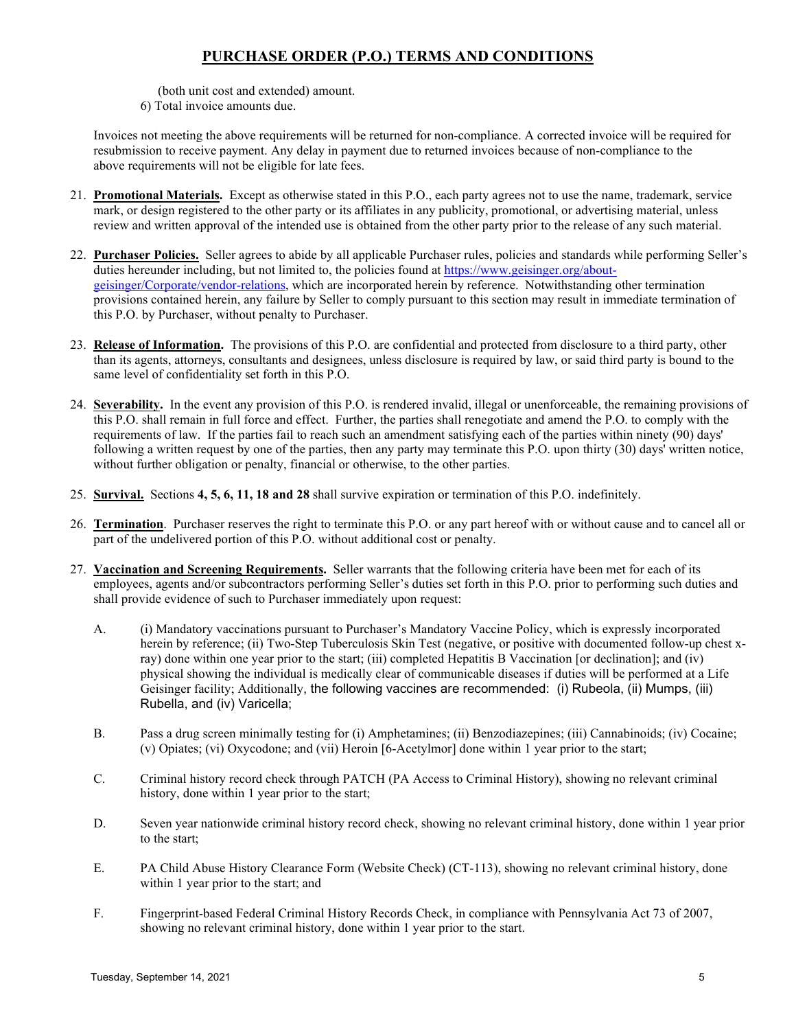(both unit cost and extended) amount.

6) Total invoice amounts due.

Invoices not meeting the above requirements will be returned for non-compliance. A corrected invoice will be required for resubmission to receive payment. Any delay in payment due to returned invoices because of non-compliance to the above requirements will not be eligible for late fees.

- 21. **Promotional Materials.** Except as otherwise stated in this P.O., each party agrees not to use the name, trademark, service mark, or design registered to the other party or its affiliates in any publicity, promotional, or advertising material, unless review and written approval of the intended use is obtained from the other party prior to the release of any such material.
- 22. **Purchaser Policies.** Seller agrees to abide by all applicable Purchaser rules, policies and standards while performing Seller's duties hereunder including, but not limited to, the policies found a[t https://www.geisinger.org/about](https://www.geisinger.org/about-geisinger/Corporate/vendor-relations)[geisinger/Corporate/vendor-relations,](https://www.geisinger.org/about-geisinger/Corporate/vendor-relations) which are incorporated herein by reference. Notwithstanding other termination provisions contained herein, any failure by Seller to comply pursuant to this section may result in immediate termination of this P.O. by Purchaser, without penalty to Purchaser.
- 23. **Release of Information.** The provisions of this P.O. are confidential and protected from disclosure to a third party, other than its agents, attorneys, consultants and designees, unless disclosure is required by law, or said third party is bound to the same level of confidentiality set forth in this P.O.
- 24. **Severability.** In the event any provision of this P.O. is rendered invalid, illegal or unenforceable, the remaining provisions of this P.O. shall remain in full force and effect. Further, the parties shall renegotiate and amend the P.O. to comply with the requirements of law. If the parties fail to reach such an amendment satisfying each of the parties within ninety (90) days' following a written request by one of the parties, then any party may terminate this P.O. upon thirty (30) days' written notice, without further obligation or penalty, financial or otherwise, to the other parties.
- 25. **Survival.** Sections **4, 5, 6, 11, 18 and 28** shall survive expiration or termination of this P.O. indefinitely.
- 26. **Termination**. Purchaser reserves the right to terminate this P.O. or any part hereof with or without cause and to cancel all or part of the undelivered portion of this P.O. without additional cost or penalty.
- 27. **Vaccination and Screening Requirements.** Seller warrants that the following criteria have been met for each of its employees, agents and/or subcontractors performing Seller's duties set forth in this P.O. prior to performing such duties and shall provide evidence of such to Purchaser immediately upon request:
	- A. (i) Mandatory vaccinations pursuant to Purchaser's Mandatory Vaccine Policy, which is expressly incorporated herein by reference; (ii) Two-Step Tuberculosis Skin Test (negative, or positive with documented follow-up chest xray) done within one year prior to the start; (iii) completed Hepatitis B Vaccination [or declination]; and (iv) physical showing the individual is medically clear of communicable diseases if duties will be performed at a Life Geisinger facility; Additionally, the following vaccines are recommended: (i) Rubeola, (ii) Mumps, (iii) Rubella, and (iv) Varicella;
	- B. Pass a drug screen minimally testing for (i) Amphetamines; (ii) Benzodiazepines; (iii) Cannabinoids; (iv) Cocaine; (v) Opiates; (vi) Oxycodone; and (vii) Heroin [6-Acetylmor] done within 1 year prior to the start;
	- C. Criminal history record check through PATCH (PA Access to Criminal History), showing no relevant criminal history, done within 1 year prior to the start;
	- D. Seven year nationwide criminal history record check, showing no relevant criminal history, done within 1 year prior to the start;
	- E. PA Child Abuse History Clearance Form (Website Check) (CT-113), showing no relevant criminal history, done within 1 year prior to the start; and
	- F. Fingerprint-based Federal Criminal History Records Check, in compliance with Pennsylvania Act 73 of 2007, showing no relevant criminal history, done within 1 year prior to the start.